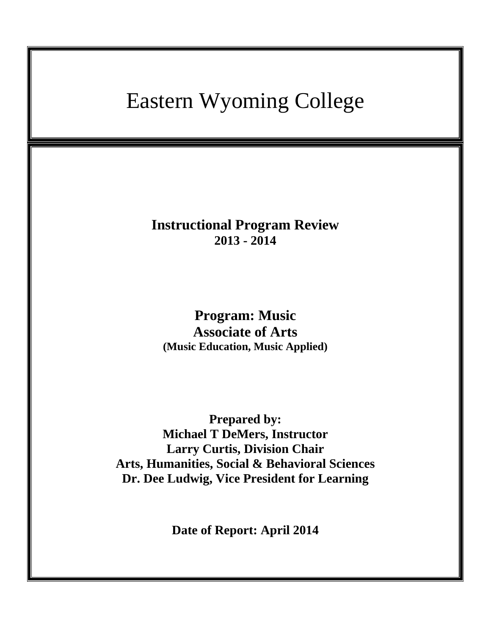# Eastern Wyoming College

**Instructional Program Review 2013 - 2014**

**Program: Music Associate of Arts (Music Education, Music Applied)**

**Prepared by: Michael T DeMers, Instructor Larry Curtis, Division Chair Arts, Humanities, Social & Behavioral Sciences Dr. Dee Ludwig, Vice President for Learning**

**Date of Report: April 2014**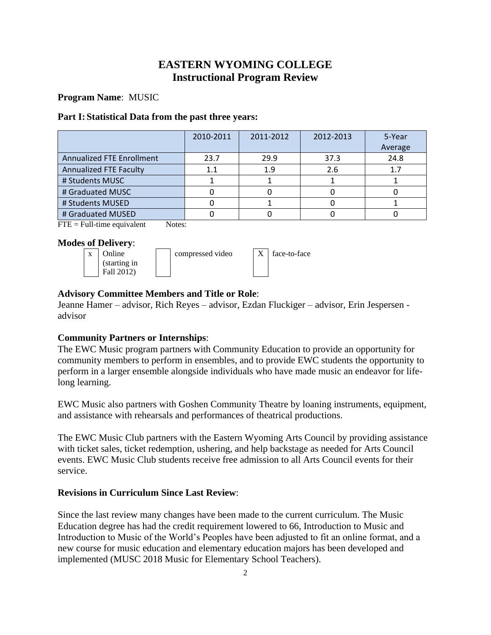## **EASTERN WYOMING COLLEGE Instructional Program Review**

## **Program Name**: MUSIC

## **Part I: Statistical Data from the past three years:**

|                               | 2010-2011 | 2011-2012 | 2012-2013 | 5-Year  |
|-------------------------------|-----------|-----------|-----------|---------|
|                               |           |           |           | Average |
| Annualized FTE Enrollment     | 23.7      | 29.9      | 37.3      | 24.8    |
| <b>Annualized FTE Faculty</b> | 11        | 1.9       | 2.6       | 1.7     |
| # Students MUSC               |           |           |           |         |
| # Graduated MUSC              |           |           |           |         |
| # Students MUSED              |           |           |           |         |
| # Graduated MUSED             |           |           |           |         |

 $\text{FTE} = \text{Full-time equivalent}$  Notes:

## **Modes of Delivery**:



|  | compressed |
|--|------------|
|  |            |

 $\forall$ ideo  $\mid X \mid$  face-to-face

## **Advisory Committee Members and Title or Role**:

Jeanne Hamer – advisor, Rich Reyes – advisor, Ezdan Fluckiger – advisor, Erin Jespersen advisor

## **Community Partners or Internships**:

The EWC Music program partners with Community Education to provide an opportunity for community members to perform in ensembles, and to provide EWC students the opportunity to perform in a larger ensemble alongside individuals who have made music an endeavor for lifelong learning.

EWC Music also partners with Goshen Community Theatre by loaning instruments, equipment, and assistance with rehearsals and performances of theatrical productions.

The EWC Music Club partners with the Eastern Wyoming Arts Council by providing assistance with ticket sales, ticket redemption, ushering, and help backstage as needed for Arts Council events. EWC Music Club students receive free admission to all Arts Council events for their service.

## **Revisions in Curriculum Since Last Review**:

Since the last review many changes have been made to the current curriculum. The Music Education degree has had the credit requirement lowered to 66, Introduction to Music and Introduction to Music of the World's Peoples have been adjusted to fit an online format, and a new course for music education and elementary education majors has been developed and implemented (MUSC 2018 Music for Elementary School Teachers).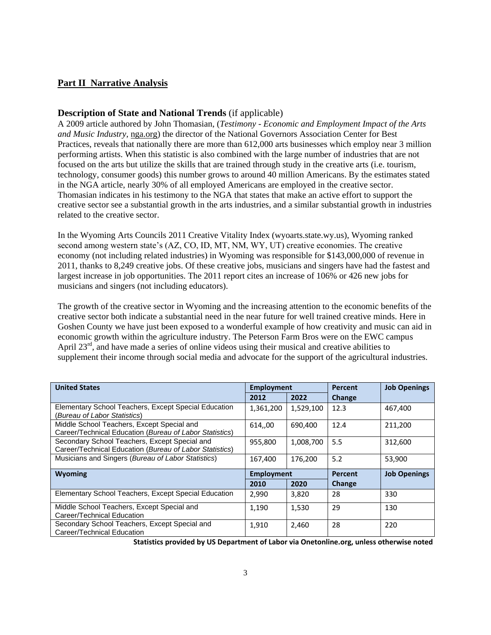## **Part II Narrative Analysis**

#### **Description of State and National Trends** (if applicable)

A 2009 article authored by John Thomasian, (*Testimony - Economic and Employment Impact of the Arts and Music Industry,* nga.org) the director of the National Governors Association Center for Best Practices, reveals that nationally there are more than 612,000 arts businesses which employ near 3 million performing artists. When this statistic is also combined with the large number of industries that are not focused on the arts but utilize the skills that are trained through study in the creative arts (i.e. tourism, technology, consumer goods) this number grows to around 40 million Americans. By the estimates stated in the NGA article, nearly 30% of all employed Americans are employed in the creative sector. Thomasian indicates in his testimony to the NGA that states that make an active effort to support the creative sector see a substantial growth in the arts industries, and a similar substantial growth in industries related to the creative sector.

In the Wyoming Arts Councils 2011 Creative Vitality Index (wyoarts.state.wy.us), Wyoming ranked second among western state's (AZ, CO, ID, MT, NM, WY, UT) creative economies. The creative economy (not including related industries) in Wyoming was responsible for \$143,000,000 of revenue in 2011, thanks to 8,249 creative jobs. Of these creative jobs, musicians and singers have had the fastest and largest increase in job opportunities. The 2011 report cites an increase of 106% or 426 new jobs for musicians and singers (not including educators).

The growth of the creative sector in Wyoming and the increasing attention to the economic benefits of the creative sector both indicate a substantial need in the near future for well trained creative minds. Here in Goshen County we have just been exposed to a wonderful example of how creativity and music can aid in economic growth within the agriculture industry. The Peterson Farm Bros were on the EWC campus April  $23<sup>rd</sup>$ , and have made a series of online videos using their musical and creative abilities to supplement their income through social media and advocate for the support of the agricultural industries.

| <b>United States</b>                                                                                     | <b>Employment</b> |           | <b>Percent</b> | <b>Job Openings</b> |
|----------------------------------------------------------------------------------------------------------|-------------------|-----------|----------------|---------------------|
|                                                                                                          | 2012              | 2022      | Change         |                     |
| Elementary School Teachers, Except Special Education<br>(Bureau of Labor Statistics)                     | 1,361,200         | 1,529,100 | 12.3           | 467.400             |
| Middle School Teachers, Except Special and<br>Career/Technical Education (Bureau of Labor Statistics)    | 614,,00           | 690.400   | 12.4           | 211.200             |
| Secondary School Teachers, Except Special and<br>Career/Technical Education (Bureau of Labor Statistics) | 955,800           | 1,008,700 | 5.5            | 312,600             |
| Musicians and Singers (Bureau of Labor Statistics)                                                       | 167,400           | 176.200   | 5.2            | 53.900              |
| <b>Wyoming</b>                                                                                           | <b>Employment</b> |           | <b>Percent</b> | <b>Job Openings</b> |
|                                                                                                          | 2010              | 2020      | Change         |                     |
| Elementary School Teachers, Except Special Education                                                     | 2,990             | 3,820     | 28             | 330                 |
| Middle School Teachers, Except Special and<br>Career/Technical Education                                 | 1.190             | 1,530     | 29             | 130                 |
| Secondary School Teachers, Except Special and<br>Career/Technical Education                              | 1,910             | 2,460     | 28             | 220                 |

**Statistics provided by US Department of Labor via Onetonline.org, unless otherwise noted**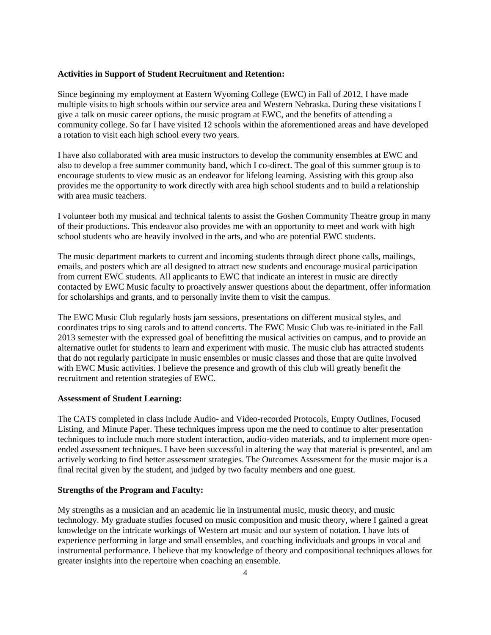#### **Activities in Support of Student Recruitment and Retention:**

Since beginning my employment at Eastern Wyoming College (EWC) in Fall of 2012, I have made multiple visits to high schools within our service area and Western Nebraska. During these visitations I give a talk on music career options, the music program at EWC, and the benefits of attending a community college. So far I have visited 12 schools within the aforementioned areas and have developed a rotation to visit each high school every two years.

I have also collaborated with area music instructors to develop the community ensembles at EWC and also to develop a free summer community band, which I co-direct. The goal of this summer group is to encourage students to view music as an endeavor for lifelong learning. Assisting with this group also provides me the opportunity to work directly with area high school students and to build a relationship with area music teachers.

I volunteer both my musical and technical talents to assist the Goshen Community Theatre group in many of their productions. This endeavor also provides me with an opportunity to meet and work with high school students who are heavily involved in the arts, and who are potential EWC students.

The music department markets to current and incoming students through direct phone calls, mailings, emails, and posters which are all designed to attract new students and encourage musical participation from current EWC students. All applicants to EWC that indicate an interest in music are directly contacted by EWC Music faculty to proactively answer questions about the department, offer information for scholarships and grants, and to personally invite them to visit the campus.

The EWC Music Club regularly hosts jam sessions, presentations on different musical styles, and coordinates trips to sing carols and to attend concerts. The EWC Music Club was re-initiated in the Fall 2013 semester with the expressed goal of benefitting the musical activities on campus, and to provide an alternative outlet for students to learn and experiment with music. The music club has attracted students that do not regularly participate in music ensembles or music classes and those that are quite involved with EWC Music activities. I believe the presence and growth of this club will greatly benefit the recruitment and retention strategies of EWC.

#### **Assessment of Student Learning:**

The CATS completed in class include Audio- and Video-recorded Protocols, Empty Outlines, Focused Listing, and Minute Paper. These techniques impress upon me the need to continue to alter presentation techniques to include much more student interaction, audio-video materials, and to implement more openended assessment techniques. I have been successful in altering the way that material is presented, and am actively working to find better assessment strategies. The Outcomes Assessment for the music major is a final recital given by the student, and judged by two faculty members and one guest.

## **Strengths of the Program and Faculty:**

My strengths as a musician and an academic lie in instrumental music, music theory, and music technology. My graduate studies focused on music composition and music theory, where I gained a great knowledge on the intricate workings of Western art music and our system of notation. I have lots of experience performing in large and small ensembles, and coaching individuals and groups in vocal and instrumental performance. I believe that my knowledge of theory and compositional techniques allows for greater insights into the repertoire when coaching an ensemble.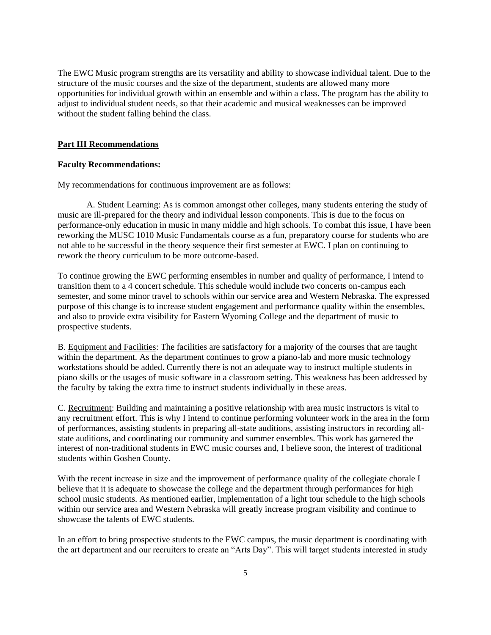The EWC Music program strengths are its versatility and ability to showcase individual talent. Due to the structure of the music courses and the size of the department, students are allowed many more opportunities for individual growth within an ensemble and within a class. The program has the ability to adjust to individual student needs, so that their academic and musical weaknesses can be improved without the student falling behind the class.

#### **Part III Recommendations**

#### **Faculty Recommendations:**

My recommendations for continuous improvement are as follows:

A. Student Learning: As is common amongst other colleges, many students entering the study of music are ill-prepared for the theory and individual lesson components. This is due to the focus on performance-only education in music in many middle and high schools. To combat this issue, I have been reworking the MUSC 1010 Music Fundamentals course as a fun, preparatory course for students who are not able to be successful in the theory sequence their first semester at EWC. I plan on continuing to rework the theory curriculum to be more outcome-based.

To continue growing the EWC performing ensembles in number and quality of performance, I intend to transition them to a 4 concert schedule. This schedule would include two concerts on-campus each semester, and some minor travel to schools within our service area and Western Nebraska. The expressed purpose of this change is to increase student engagement and performance quality within the ensembles, and also to provide extra visibility for Eastern Wyoming College and the department of music to prospective students.

B. Equipment and Facilities: The facilities are satisfactory for a majority of the courses that are taught within the department. As the department continues to grow a piano-lab and more music technology workstations should be added. Currently there is not an adequate way to instruct multiple students in piano skills or the usages of music software in a classroom setting. This weakness has been addressed by the faculty by taking the extra time to instruct students individually in these areas.

C. Recruitment: Building and maintaining a positive relationship with area music instructors is vital to any recruitment effort. This is why I intend to continue performing volunteer work in the area in the form of performances, assisting students in preparing all-state auditions, assisting instructors in recording allstate auditions, and coordinating our community and summer ensembles. This work has garnered the interest of non-traditional students in EWC music courses and, I believe soon, the interest of traditional students within Goshen County.

With the recent increase in size and the improvement of performance quality of the collegiate chorale I believe that it is adequate to showcase the college and the department through performances for high school music students. As mentioned earlier, implementation of a light tour schedule to the high schools within our service area and Western Nebraska will greatly increase program visibility and continue to showcase the talents of EWC students.

In an effort to bring prospective students to the EWC campus, the music department is coordinating with the art department and our recruiters to create an "Arts Day". This will target students interested in study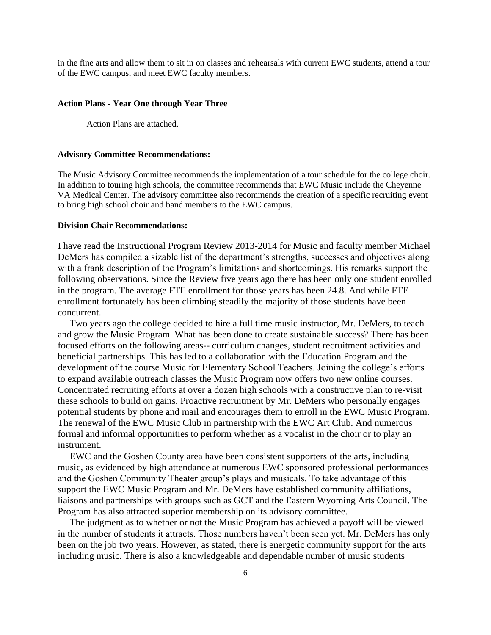in the fine arts and allow them to sit in on classes and rehearsals with current EWC students, attend a tour of the EWC campus, and meet EWC faculty members.

#### **Action Plans - Year One through Year Three**

Action Plans are attached.

#### **Advisory Committee Recommendations:**

The Music Advisory Committee recommends the implementation of a tour schedule for the college choir. In addition to touring high schools, the committee recommends that EWC Music include the Cheyenne VA Medical Center. The advisory committee also recommends the creation of a specific recruiting event to bring high school choir and band members to the EWC campus.

#### **Division Chair Recommendations:**

I have read the Instructional Program Review 2013-2014 for Music and faculty member Michael DeMers has compiled a sizable list of the department's strengths, successes and objectives along with a frank description of the Program's limitations and shortcomings. His remarks support the following observations. Since the Review five years ago there has been only one student enrolled in the program. The average FTE enrollment for those years has been 24.8. And while FTE enrollment fortunately has been climbing steadily the majority of those students have been concurrent.

 Two years ago the college decided to hire a full time music instructor, Mr. DeMers, to teach and grow the Music Program. What has been done to create sustainable success? There has been focused efforts on the following areas-- curriculum changes, student recruitment activities and beneficial partnerships. This has led to a collaboration with the Education Program and the development of the course Music for Elementary School Teachers. Joining the college's efforts to expand available outreach classes the Music Program now offers two new online courses. Concentrated recruiting efforts at over a dozen high schools with a constructive plan to re-visit these schools to build on gains. Proactive recruitment by Mr. DeMers who personally engages potential students by phone and mail and encourages them to enroll in the EWC Music Program. The renewal of the EWC Music Club in partnership with the EWC Art Club. And numerous formal and informal opportunities to perform whether as a vocalist in the choir or to play an instrument.

 EWC and the Goshen County area have been consistent supporters of the arts, including music, as evidenced by high attendance at numerous EWC sponsored professional performances and the Goshen Community Theater group's plays and musicals. To take advantage of this support the EWC Music Program and Mr. DeMers have established community affiliations, liaisons and partnerships with groups such as GCT and the Eastern Wyoming Arts Council. The Program has also attracted superior membership on its advisory committee.

 The judgment as to whether or not the Music Program has achieved a payoff will be viewed in the number of students it attracts. Those numbers haven't been seen yet. Mr. DeMers has only been on the job two years. However, as stated, there is energetic community support for the arts including music. There is also a knowledgeable and dependable number of music students